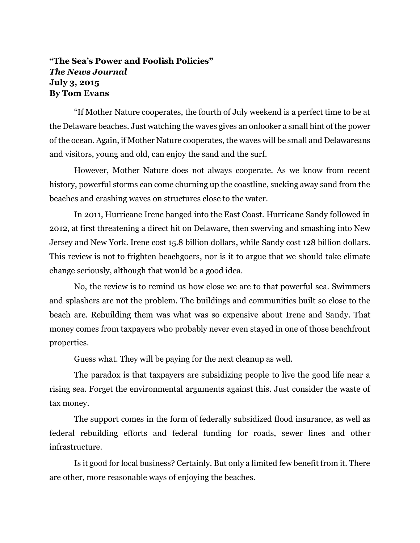## **"The Sea's Power and Foolish Policies"** *The News Journal* **July 3, 2015 By Tom Evans**

"If Mother Nature cooperates, the fourth of July weekend is a perfect time to be at the Delaware beaches. Just watching the waves gives an onlooker a small hint of the power of the ocean. Again, if Mother Nature cooperates, the waves will be small and Delawareans and visitors, young and old, can enjoy the sand and the surf.

However, Mother Nature does not always cooperate. As we know from recent history, powerful storms can come churning up the coastline, sucking away sand from the beaches and crashing waves on structures close to the water.

In 2011, Hurricane Irene banged into the East Coast. Hurricane Sandy followed in 2012, at first threatening a direct hit on Delaware, then swerving and smashing into New Jersey and New York. Irene cost 15.8 billion dollars, while Sandy cost 128 billion dollars. This review is not to frighten beachgoers, nor is it to argue that we should take climate change seriously, although that would be a good idea.

No, the review is to remind us how close we are to that powerful sea. Swimmers and splashers are not the problem. The buildings and communities built so close to the beach are. Rebuilding them was what was so expensive about Irene and Sandy. That money comes from taxpayers who probably never even stayed in one of those beachfront properties.

Guess what. They will be paying for the next cleanup as well.

The paradox is that taxpayers are subsidizing people to live the good life near a rising sea. Forget the environmental arguments against this. Just consider the waste of tax money.

The support comes in the form of federally subsidized flood insurance, as well as federal rebuilding efforts and federal funding for roads, sewer lines and other infrastructure.

Is it good for local business? Certainly. But only a limited few benefit from it. There are other, more reasonable ways of enjoying the beaches.